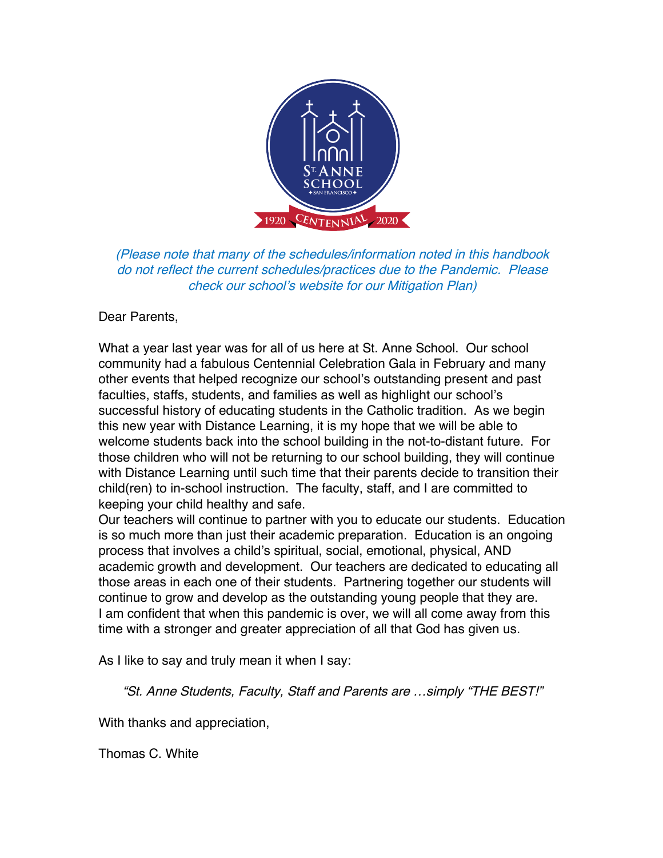

(Please note that many of the schedules/information noted in this handbook do not reflect the current schedules/practices due to the Pandemic. Please check our school's website for our Mitigation Plan)

#### Dear Parents,

What a year last year was for all of us here at St. Anne School. Our school community had a fabulous Centennial Celebration Gala in February and many other events that helped recognize our school's outstanding present and past faculties, staffs, students, and families as well as highlight our school's successful history of educating students in the Catholic tradition. As we begin this new year with Distance Learning, it is my hope that we will be able to welcome students back into the school building in the not-to-distant future. For those children who will not be returning to our school building, they will continue with Distance Learning until such time that their parents decide to transition their child(ren) to in-school instruction. The faculty, staff, and I are committed to keeping your child healthy and safe.

Our teachers will continue to partner with you to educate our students. Education is so much more than just their academic preparation. Education is an ongoing process that involves a child's spiritual, social, emotional, physical, AND academic growth and development. Our teachers are dedicated to educating all those areas in each one of their students. Partnering together our students will continue to grow and develop as the outstanding young people that they are. I am confident that when this pandemic is over, we will all come away from this time with a stronger and greater appreciation of all that God has given us.

As I like to say and truly mean it when I say:

"St. Anne Students, Faculty, Staff and Parents are …simply "THE BEST!"

With thanks and appreciation,

Thomas C. White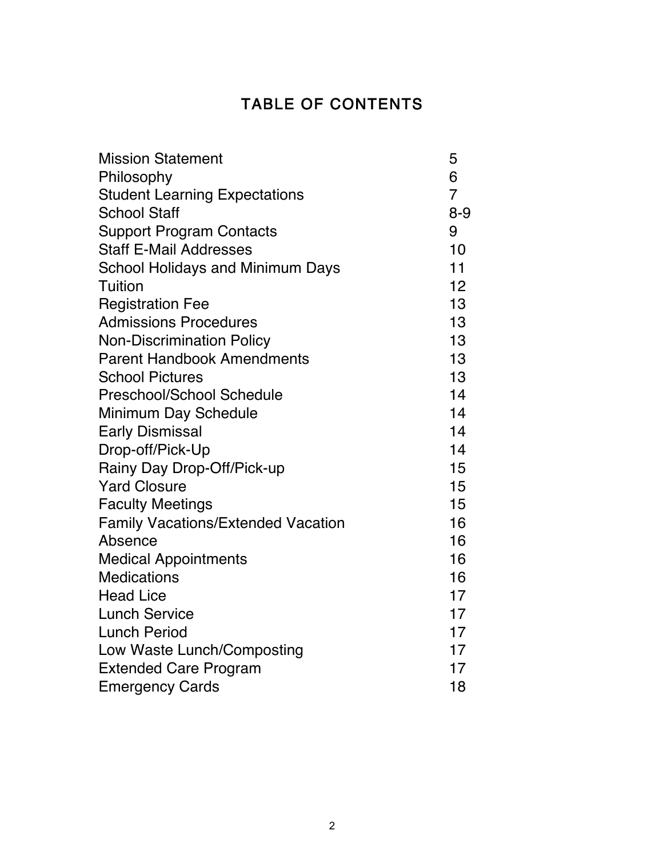## TABLE OF CONTENTS

| <b>Mission Statement</b>                  | 5              |  |
|-------------------------------------------|----------------|--|
| Philosophy                                | 6              |  |
| <b>Student Learning Expectations</b>      | $\overline{7}$ |  |
| <b>School Staff</b>                       | $8 - 9$        |  |
| <b>Support Program Contacts</b>           | 9              |  |
| <b>Staff E-Mail Addresses</b>             | 10             |  |
| <b>School Holidays and Minimum Days</b>   | 11             |  |
| <b>Tuition</b>                            | 12             |  |
| <b>Registration Fee</b>                   | 13             |  |
| <b>Admissions Procedures</b>              | 13             |  |
| <b>Non-Discrimination Policy</b>          | 13             |  |
| <b>Parent Handbook Amendments</b>         | 13             |  |
| <b>School Pictures</b>                    | 13             |  |
| Preschool/School Schedule                 | 14             |  |
| Minimum Day Schedule                      | 14             |  |
| <b>Early Dismissal</b>                    | 14             |  |
| Drop-off/Pick-Up                          | 14             |  |
| Rainy Day Drop-Off/Pick-up                | 15             |  |
| <b>Yard Closure</b>                       | 15             |  |
| <b>Faculty Meetings</b>                   | 15             |  |
| <b>Family Vacations/Extended Vacation</b> | 16             |  |
| Absence                                   | 16             |  |
| <b>Medical Appointments</b>               | 16             |  |
| <b>Medications</b>                        | 16             |  |
| <b>Head Lice</b>                          | 17             |  |
| <b>Lunch Service</b>                      | 17             |  |
| <b>Lunch Period</b>                       | 17             |  |
| Low Waste Lunch/Composting                | 17             |  |
| <b>Extended Care Program</b>              | 17             |  |
| <b>Emergency Cards</b>                    | 18             |  |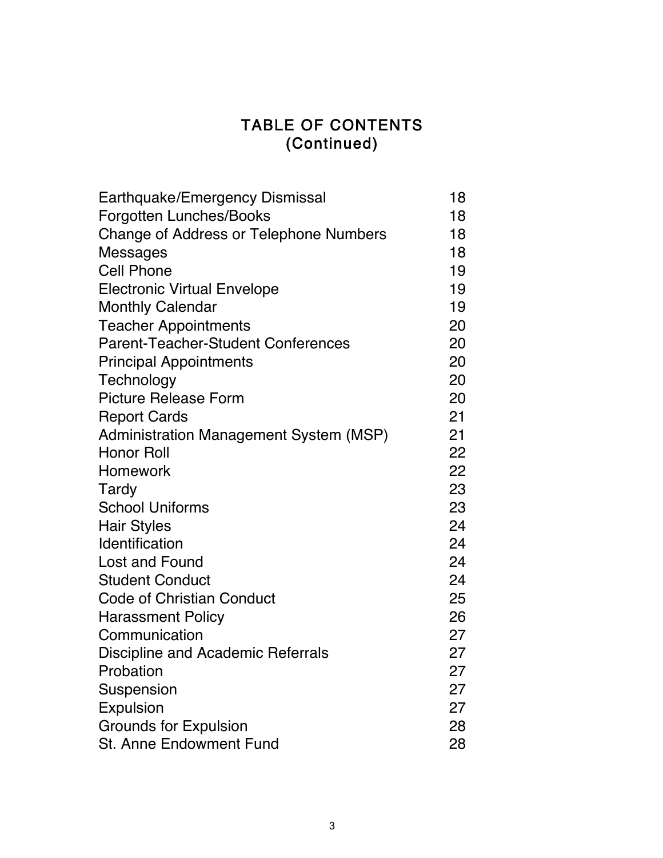## TABLE OF CONTENTS (Continued)

| Earthquake/Emergency Dismissal            | 18 |  |
|-------------------------------------------|----|--|
| <b>Forgotten Lunches/Books</b>            | 18 |  |
| Change of Address or Telephone Numbers    | 18 |  |
| <b>Messages</b>                           | 18 |  |
| <b>Cell Phone</b>                         | 19 |  |
| <b>Electronic Virtual Envelope</b>        | 19 |  |
| <b>Monthly Calendar</b>                   | 19 |  |
| <b>Teacher Appointments</b>               | 20 |  |
| <b>Parent-Teacher-Student Conferences</b> | 20 |  |
| <b>Principal Appointments</b>             | 20 |  |
| Technology                                | 20 |  |
| <b>Picture Release Form</b>               | 20 |  |
| <b>Report Cards</b>                       | 21 |  |
| Administration Management System (MSP)    | 21 |  |
| <b>Honor Roll</b>                         | 22 |  |
| Homework                                  | 22 |  |
| Tardy                                     | 23 |  |
| <b>School Uniforms</b>                    | 23 |  |
| <b>Hair Styles</b>                        | 24 |  |
| Identification                            | 24 |  |
| Lost and Found                            | 24 |  |
| <b>Student Conduct</b>                    | 24 |  |
| <b>Code of Christian Conduct</b>          | 25 |  |
| <b>Harassment Policy</b>                  | 26 |  |
| Communication                             | 27 |  |
| Discipline and Academic Referrals         | 27 |  |
| Probation                                 | 27 |  |
| Suspension                                | 27 |  |
| Expulsion                                 | 27 |  |
| <b>Grounds for Expulsion</b>              | 28 |  |
| <b>St. Anne Endowment Fund</b>            | 28 |  |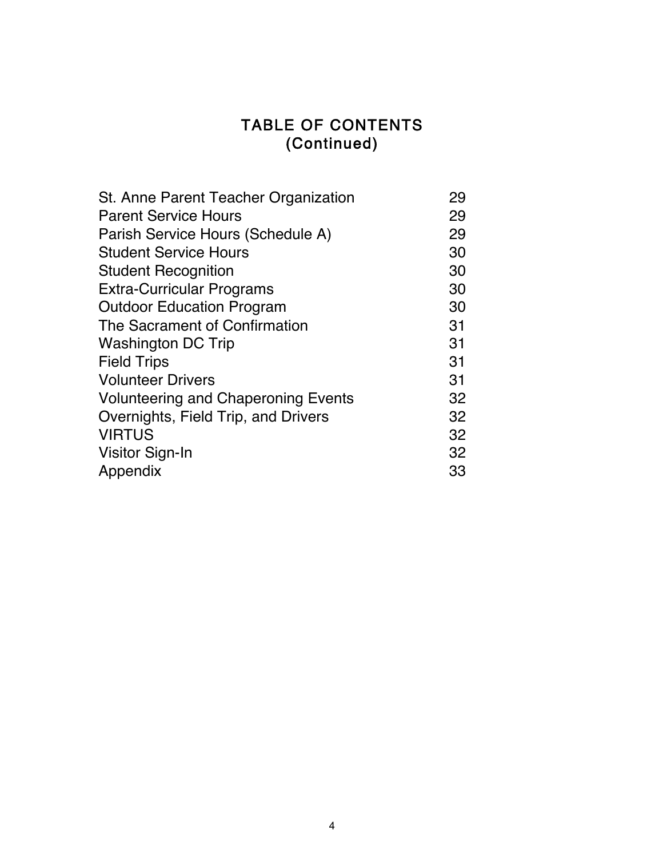## TABLE OF CONTENTS (Continued)

| St. Anne Parent Teacher Organization       | 29 |
|--------------------------------------------|----|
| <b>Parent Service Hours</b>                | 29 |
| Parish Service Hours (Schedule A)          | 29 |
| <b>Student Service Hours</b>               | 30 |
| <b>Student Recognition</b>                 | 30 |
| <b>Extra-Curricular Programs</b>           | 30 |
| <b>Outdoor Education Program</b>           | 30 |
| The Sacrament of Confirmation              | 31 |
| <b>Washington DC Trip</b>                  | 31 |
| <b>Field Trips</b>                         | 31 |
| <b>Volunteer Drivers</b>                   | 31 |
| <b>Volunteering and Chaperoning Events</b> | 32 |
| Overnights, Field Trip, and Drivers        | 32 |
| <b>VIRTUS</b>                              | 32 |
| Visitor Sign-In                            | 32 |
| Appendix                                   | 33 |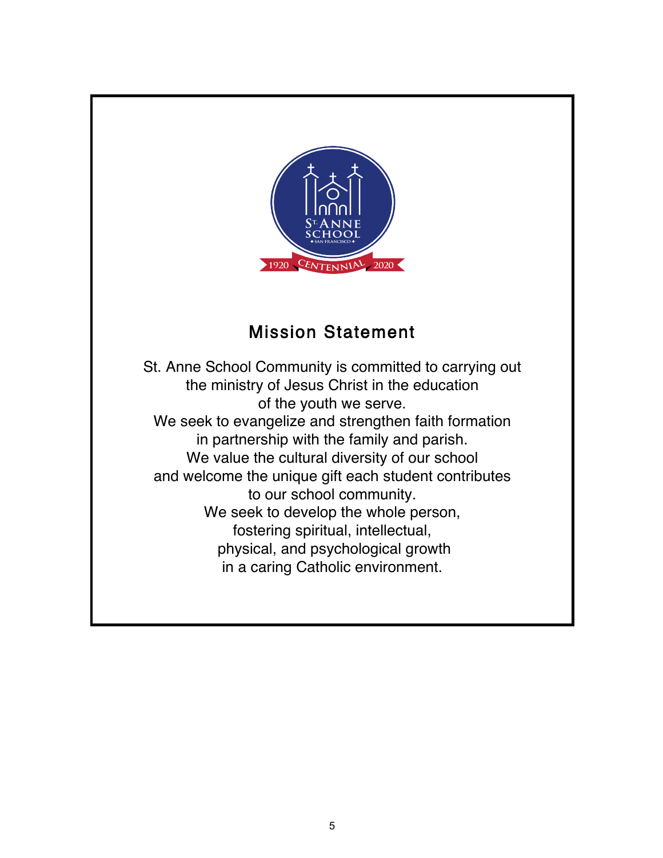

# Mission Statement

St. Anne School Community is committed to carrying out the ministry of Jesus Christ in the education of the youth we serve. We seek to evangelize and strengthen faith formation in partnership with the family and parish. We value the cultural diversity of our school and welcome the unique gift each student contributes to our school community. We seek to develop the whole person, fostering spiritual, intellectual, physical, and psychological growth in a caring Catholic environment.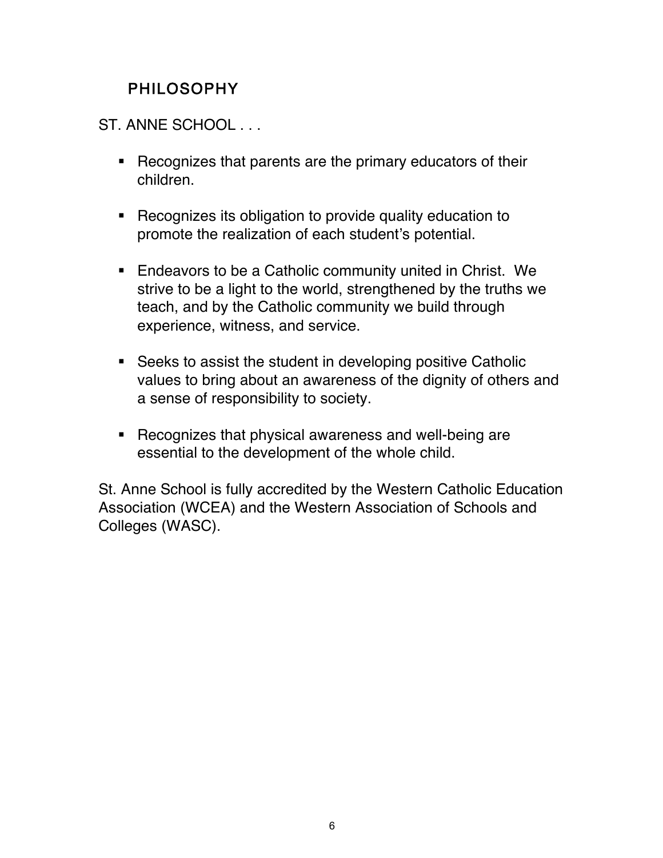# PHILOSOPHY

ST. ANNE SCHOOL . . .

- ! Recognizes that parents are the primary educators of their children.
- ! Recognizes its obligation to provide quality education to promote the realization of each student's potential.
- **Endeavors to be a Catholic community united in Christ. We** strive to be a light to the world, strengthened by the truths we teach, and by the Catholic community we build through experience, witness, and service.
- ! Seeks to assist the student in developing positive Catholic values to bring about an awareness of the dignity of others and a sense of responsibility to society.
- ! Recognizes that physical awareness and well-being are essential to the development of the whole child.

St. Anne School is fully accredited by the Western Catholic Education Association (WCEA) and the Western Association of Schools and Colleges (WASC).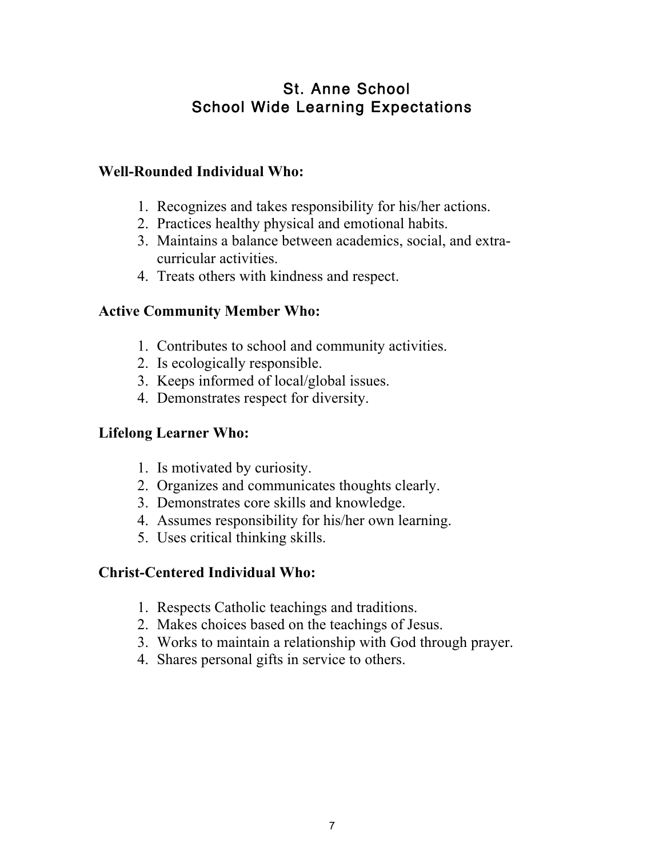## St. Anne School School Wide Learning Expectations

#### **Well-Rounded Individual Who:**

- 1. Recognizes and takes responsibility for his/her actions.
- 2. Practices healthy physical and emotional habits.
- 3. Maintains a balance between academics, social, and extracurricular activities.
- 4. Treats others with kindness and respect.

#### **Active Community Member Who:**

- 1. Contributes to school and community activities.
- 2. Is ecologically responsible.
- 3. Keeps informed of local/global issues.
- 4. Demonstrates respect for diversity.

#### **Lifelong Learner Who:**

- 1. Is motivated by curiosity.
- 2. Organizes and communicates thoughts clearly.
- 3. Demonstrates core skills and knowledge.
- 4. Assumes responsibility for his/her own learning.
- 5. Uses critical thinking skills.

#### **Christ-Centered Individual Who:**

- 1. Respects Catholic teachings and traditions.
- 2. Makes choices based on the teachings of Jesus.
- 3. Works to maintain a relationship with God through prayer.
- 4. Shares personal gifts in service to others.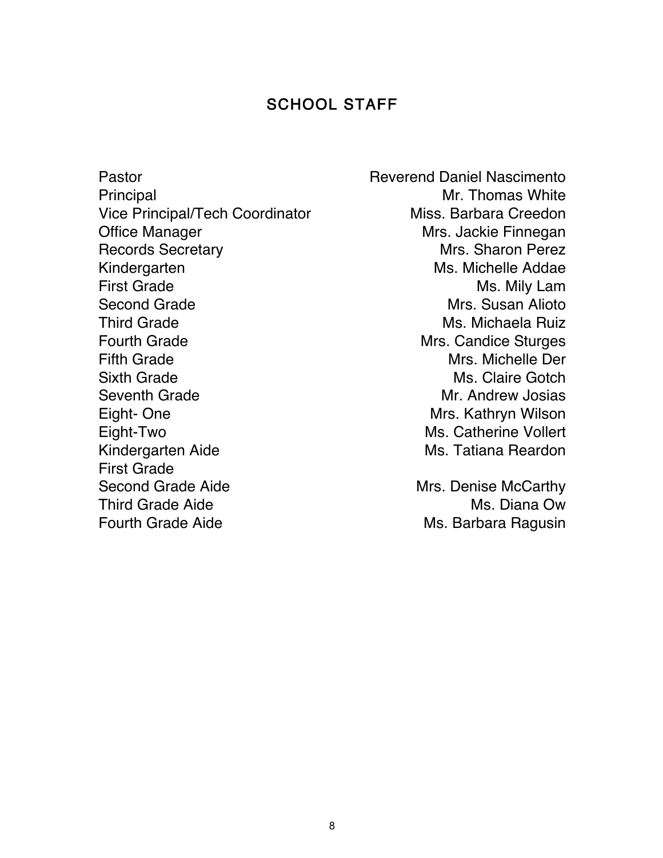#### SCHOOL STAFF

Pastor **Pastor** Reverend Daniel Nascimento Principal Mr. Thomas White Vice Principal/Tech Coordinator Miss. Barbara Creedon Office Manager **Mrs. Jackie Finnegan** Records Secretary **Mrs.** Sharon Perez Kindergarten Ms. Michelle Addae First Grade Ms. Mily Lam Second Grade **Mrs.** Susan Alioto Third Grade **Ms. Michaela Ruiz** Fourth Grade **Mrs.** Candice Sturges Fifth Grade **Mrs. Michelle Der** Mrs. Michelle Der Sixth Grade Ms. Claire Gotch Seventh Grade **Mr.** Andrew Josias Eight- One **Mrs.** Kathryn Wilson Eight-Two Ms. Catherine Vollert Kindergarten Aide Ms. Tatiana Reardon First Grade Second Grade Aide Mrs. Denise McCarthy Third Grade Aide **Ms.** Diana Ow Fourth Grade Aide **Ms. Barbara Ragusin**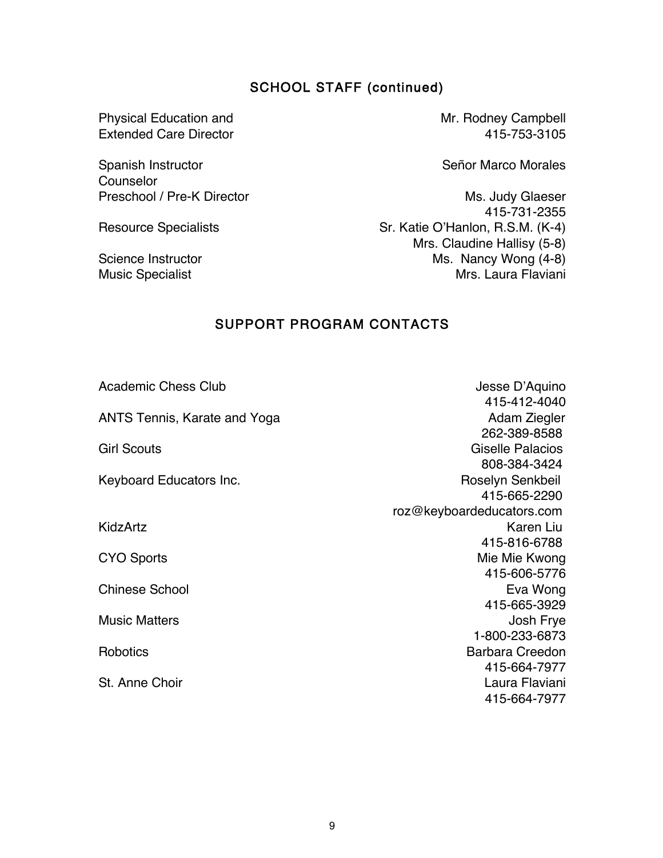#### SCHOOL STAFF (continued)

Physical Education and Mr. Rodney Campbell Extended Care Director 415-753-3105

Spanish Instructor Counselor

Señor Marco Morales

Preschool / Pre-K Director Ms. Judy Glaeser 415-731-2355 Resource Specialists Sr. Katie O'Hanlon, R.S.M. (K-4) Mrs. Claudine Hallisy (5-8) Science Instructor Ms. Nancy Wong (4-8) Music Specialist **Music Specialist** Music Specialist **Music Specialist** Music Specialist **Music Specialist** 

#### SUPPORT PROGRAM CONTACTS

Academic Chess Club **Academic Chess Club** Jesse D'Aquino 415-412-4040 ANTS Tennis, Karate and Yoga **Andram Adam Ziegler** Adam Ziegler 262-389-8588 Girl Scouts Giselle Palacios 808-384-3424 Keyboard Educators Inc. **Roselyn Senkbeil**  415-665-2290 roz@keyboardeducators.com KidzArtz **Karen Liu**  415-816-6788 CYO Sports Mie Mie Kwong and Sports Mie Mie Kwong in de Europa en de Sports Mie Mie Kwong in de Europa en de S 415-606-5776 Chinese School **Eva Wong** 415-665-3929 Music Matters **Music Matters Josh Frye Robotics** St. Anne Choir 1-800-233-6873 Barbara Creedon 415-664-7977 Laura Flaviani 415-664-7977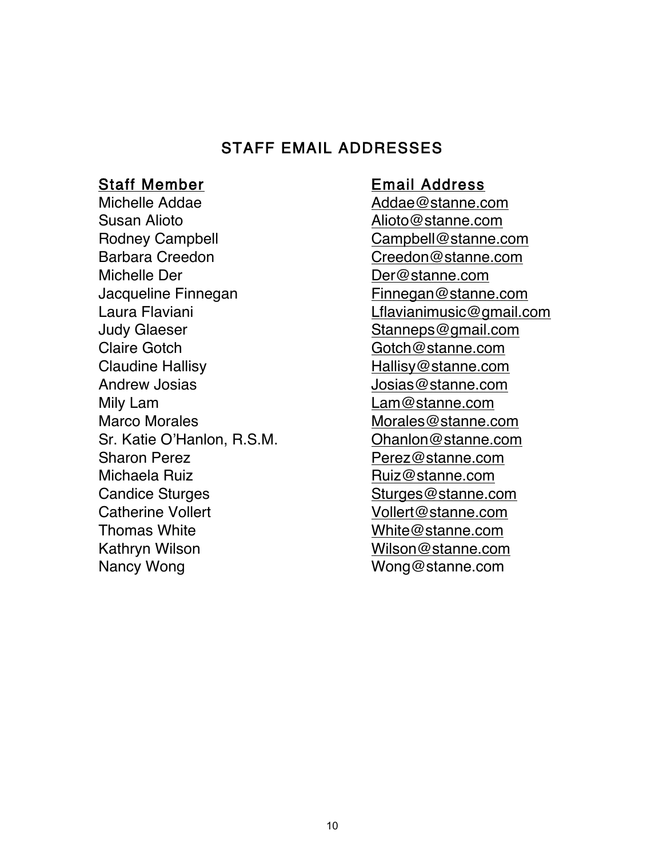#### STAFF EMAIL ADDRESSES

Michelle Addae **Addae** Addae **Addae** Addae Addae Addae Addae Addae Addae Addae Addae Addae Addae Addae Addae Addae Addae Addae Addae Addae Addae Addae Addae Addae Addae Addae Addae Addae Addae Addae Addae Addae Addae Addae Susan Alioto **Alioto Alioto Alioto Alioto Alioto Alioto Alioto Alioto Alioto Alioto Alioto Alioto Alioto Alioto Alioto Alioto Alioto Alioto Alioto Alioto Alioto Alioto Alioto A** Rodney Campbell **Campbell** Campbell **Campbell** Campbell **Campbell** Campbell **Campbell** Com Barbara Creedon Creedon Creedon @stanne.com Michelle Der **Der Der Der Australian Executive Community** Der @stanne.com Jacqueline Finnegan Finnegan@stanne.com Laura Flaviani Lflavianimusic@gmail.com Judy Glaeser Stanneps@gmail.com Claire Gotch Gotch Gotch Gotch Gotch Gotch Gotch Gotch Gotch Gotch Gotch Gotch Gotch Gotch Gotch Gotch Gotch Gotch Gotch Gotch Gotch Gotch Gotch Gotch Gotch Gotch Gotch Gotch Gotch Gotch Gotch Gotch Gotch Gotch Gotch Gotch Claudine Hallisy **Mallisy** Hallisy @stanne.com Andrew Josias **Andrew Josias** Josias @stanne.com Mily Lam de Communication and Lam@stanne.com Marco Morales Morales Morales Morales Morales Morales Morales Music Com Sr. Katie O'Hanlon, R.S.M. Ohanlon@stanne.com Sharon Perez **Perez** Perez **Perez** Perez **Perez** estanne.com Michaela Ruiz **Ruizmanne**.com Candice Sturges Candice Sturges Candice Sturges Candice Sturges Canadian Com Catherine Vollert Vollert Vollert Catherine Vollert Vollert Vollert Vollert Com Thomas White White White White White White White White  $\omega$  stanne.com Kathryn Wilson Wilson Wilson Wilson & Stanne.com Nancy Wong Wong Wong @stanne.com

#### Staff Member Email Address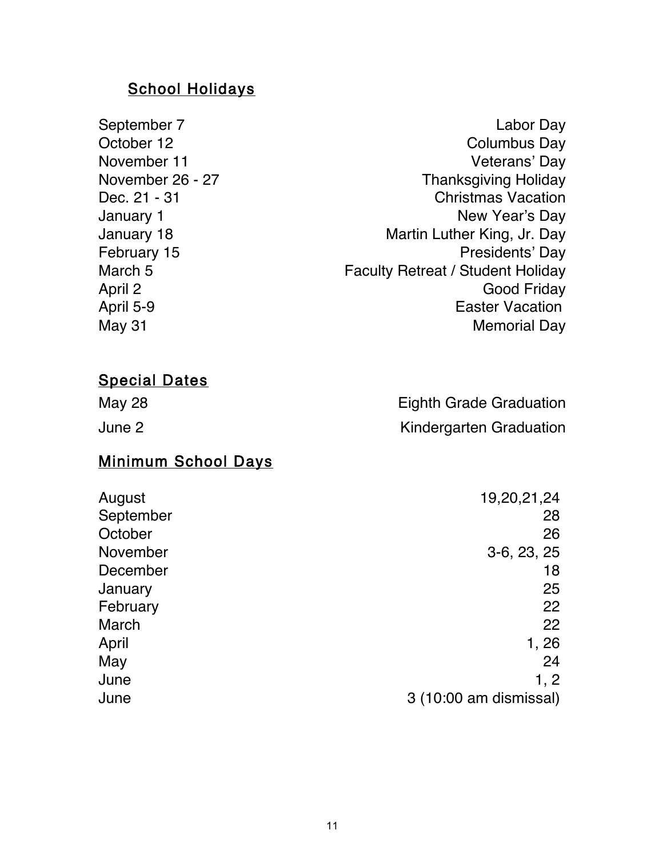#### School Holidays

- Dec. 21 31 January 1 January 18 February 15 April 2 April 5-9
- September 7 Labor Day October 12 Columbus Day November 11 Veterans' Day November 26 - 27 Thanksgiving Holiday Christmas Vacation New Year's Day Martin Luther King, Jr. Day Presidents' Day March 5 **Faculty Retreat / Student Holiday** Good Friday Easter Vacation May 31 Memorial Day

#### Special Dates

| May 28 | <b>Eighth Grade Graduation</b> |
|--------|--------------------------------|
| June 2 | Kindergarten Graduation        |

#### Minimum School Days

| 19,20,21,24            |
|------------------------|
| 28                     |
| 26                     |
| $3-6, 23, 25$          |
| 18                     |
| 25                     |
| 22                     |
| 22                     |
| 1, 26                  |
| 24                     |
| 1, 2                   |
| 3 (10:00 am dismissal) |
|                        |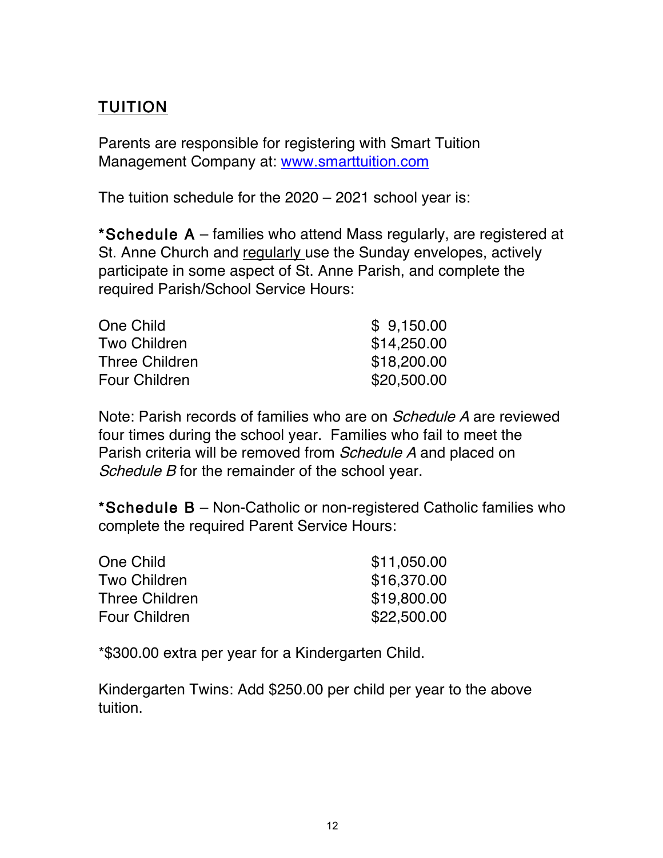# TUITION

Parents are responsible for registering with Smart Tuition Management Company at: www.smarttuition.com

The tuition schedule for the 2020 – 2021 school year is:

\*Schedule A – families who attend Mass regularly, are registered at St. Anne Church and regularly use the Sunday envelopes, actively participate in some aspect of St. Anne Parish, and complete the required Parish/School Service Hours:

| \$9,150.00  |
|-------------|
| \$14,250.00 |
| \$18,200.00 |
| \$20,500.00 |
|             |

Note: Parish records of families who are on Schedule A are reviewed four times during the school year. Families who fail to meet the Parish criteria will be removed from *Schedule A* and placed on Schedule B for the remainder of the school year.

\*Schedule B – Non-Catholic or non-registered Catholic families who complete the required Parent Service Hours:

| One Child             | \$11,050.00 |
|-----------------------|-------------|
| <b>Two Children</b>   | \$16,370.00 |
| <b>Three Children</b> | \$19,800.00 |
| <b>Four Children</b>  | \$22,500.00 |

\*\$300.00 extra per year for a Kindergarten Child.

Kindergarten Twins: Add \$250.00 per child per year to the above tuition.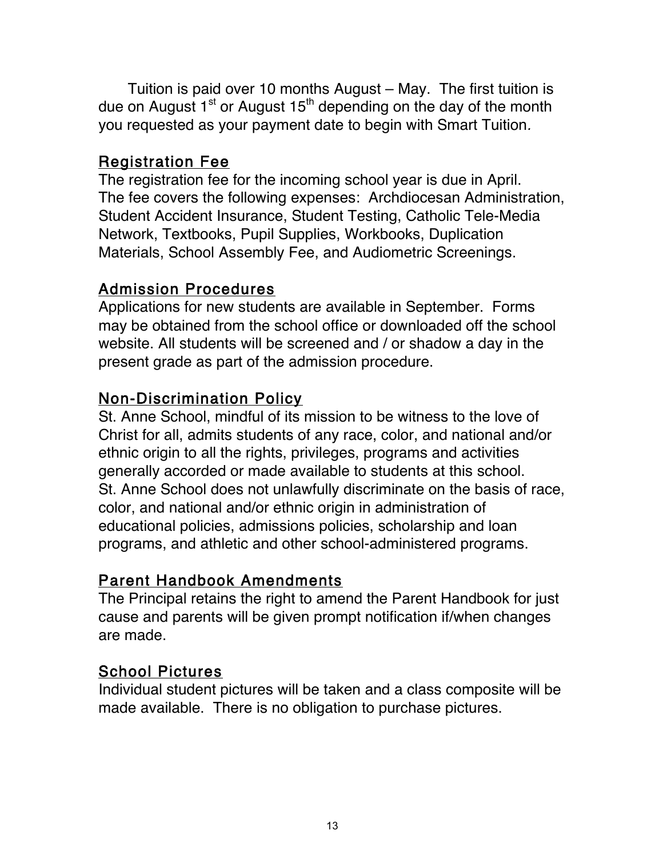Tuition is paid over 10 months August – May. The first tuition is due on August  $1<sup>st</sup>$  or August  $15<sup>th</sup>$  depending on the day of the month you requested as your payment date to begin with Smart Tuition.

#### Registration Fee

The registration fee for the incoming school year is due in April. The fee covers the following expenses: Archdiocesan Administration, Student Accident Insurance, Student Testing, Catholic Tele-Media Network, Textbooks, Pupil Supplies, Workbooks, Duplication Materials, School Assembly Fee, and Audiometric Screenings.

#### Admission Procedures

Applications for new students are available in September. Forms may be obtained from the school office or downloaded off the school website. All students will be screened and / or shadow a day in the present grade as part of the admission procedure.

#### Non-Discrimination Policy

St. Anne School, mindful of its mission to be witness to the love of Christ for all, admits students of any race, color, and national and/or ethnic origin to all the rights, privileges, programs and activities generally accorded or made available to students at this school. St. Anne School does not unlawfully discriminate on the basis of race, color, and national and/or ethnic origin in administration of educational policies, admissions policies, scholarship and loan programs, and athletic and other school-administered programs.

#### Parent Handbook Amendments

The Principal retains the right to amend the Parent Handbook for just cause and parents will be given prompt notification if/when changes are made.

## School Pictures

Individual student pictures will be taken and a class composite will be made available. There is no obligation to purchase pictures.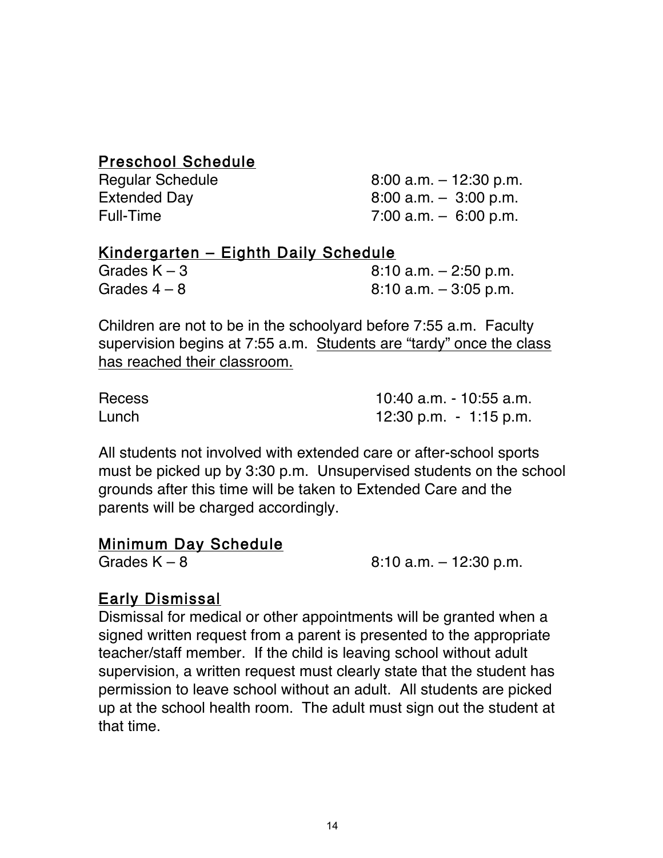#### Preschool Schedule

| <b>Regular Schedule</b> | $8:00$ a.m. $-12:30$ p.m. |
|-------------------------|---------------------------|
| <b>Extended Day</b>     | $8:00$ a.m. $-3:00$ p.m.  |
| Full-Time               | 7:00 a.m. $-6:00$ p.m.    |

#### Kindergarten – Eighth Daily Schedule

| Grades $K - 3$ | $8:10$ a.m. $-2:50$ p.m. |
|----------------|--------------------------|
| Grades $4-8$   | $8:10$ a.m. $-3:05$ p.m. |

Children are not to be in the schoolyard before 7:55 a.m. Faculty supervision begins at 7:55 a.m. Students are "tardy" once the class has reached their classroom.

| <b>Recess</b> | 10:40 a.m. - 10:55 a.m. |
|---------------|-------------------------|
| Lunch         | 12:30 p.m. $-1:15$ p.m. |

All students not involved with extended care or after-school sports must be picked up by 3:30 p.m. Unsupervised students on the school grounds after this time will be taken to Extended Care and the parents will be charged accordingly.

#### Minimum Day Schedule

Grades K – 8  $8:10$  a.m. – 12:30 p.m.

## Early Dismissal

Dismissal for medical or other appointments will be granted when a signed written request from a parent is presented to the appropriate teacher/staff member. If the child is leaving school without adult supervision, a written request must clearly state that the student has permission to leave school without an adult. All students are picked up at the school health room. The adult must sign out the student at that time.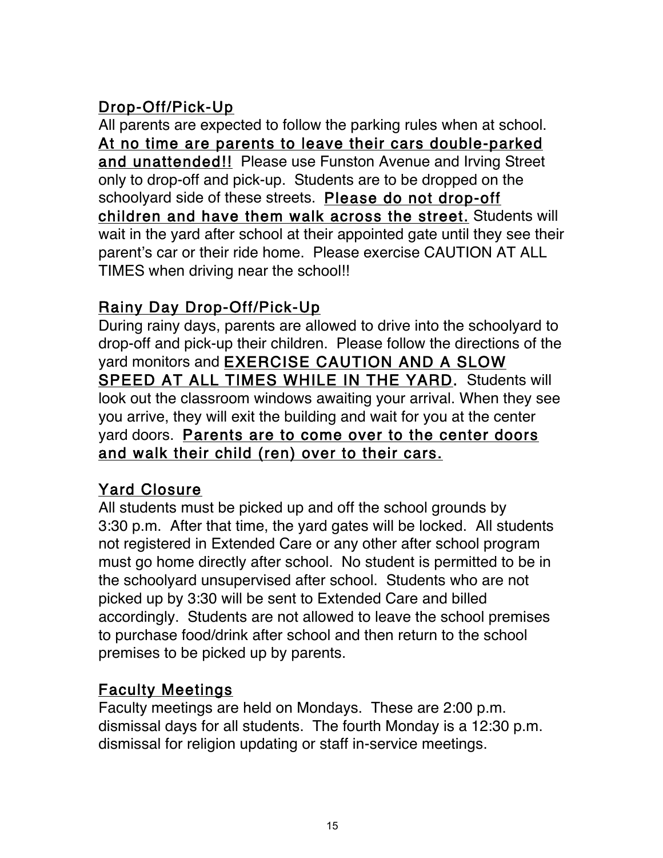# Drop-Off/Pick-Up

All parents are expected to follow the parking rules when at school. At no time are parents to leave their cars double-parked and unattended!! Please use Funston Avenue and Irving Street only to drop-off and pick-up. Students are to be dropped on the schoolyard side of these streets. Please do not drop-off children and have them walk across the street. Students will wait in the yard after school at their appointed gate until they see their parent's car or their ride home. Please exercise CAUTION AT ALL TIMES when driving near the school!!

# Rainy Day Drop-Off/Pick-Up

During rainy days, parents are allowed to drive into the schoolyard to drop-off and pick-up their children. Please follow the directions of the yard monitors and EXERCISE CAUTION AND A SLOW SPEED AT ALL TIMES WHILE IN THE YARD. Students will look out the classroom windows awaiting your arrival. When they see you arrive, they will exit the building and wait for you at the center yard doors. Parents are to come over to the center doors and walk their child (ren) over to their cars.

## Yard Closure

All students must be picked up and off the school grounds by 3:30 p.m. After that time, the yard gates will be locked. All students not registered in Extended Care or any other after school program must go home directly after school. No student is permitted to be in the schoolyard unsupervised after school. Students who are not picked up by 3:30 will be sent to Extended Care and billed accordingly. Students are not allowed to leave the school premises to purchase food/drink after school and then return to the school premises to be picked up by parents.

## Faculty Meetings

Faculty meetings are held on Mondays. These are 2:00 p.m. dismissal days for all students. The fourth Monday is a 12:30 p.m. dismissal for religion updating or staff in-service meetings.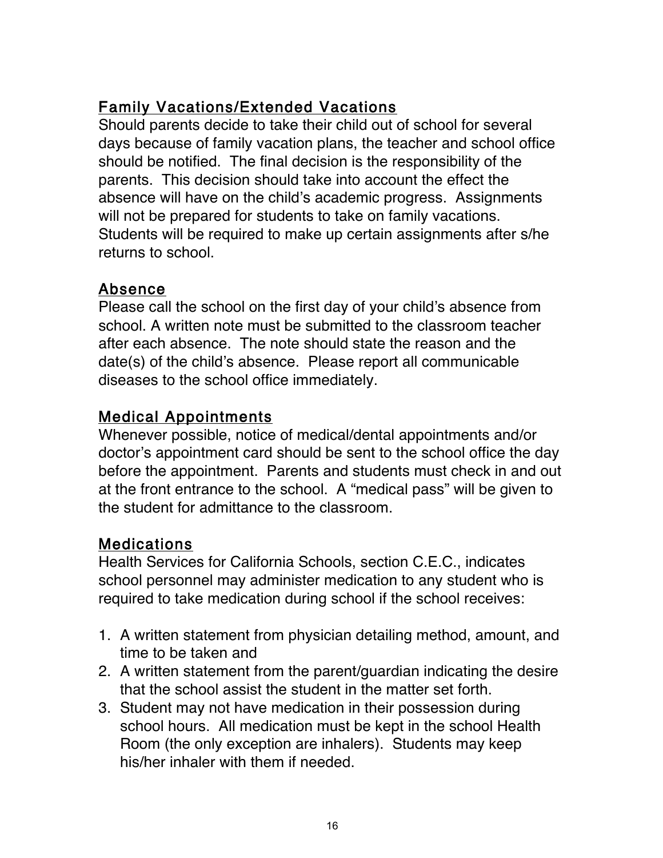# Family Vacations/Extended Vacations

Should parents decide to take their child out of school for several days because of family vacation plans, the teacher and school office should be notified. The final decision is the responsibility of the parents. This decision should take into account the effect the absence will have on the child's academic progress. Assignments will not be prepared for students to take on family vacations. Students will be required to make up certain assignments after s/he returns to school.

## Absence

Please call the school on the first day of your child's absence from school. A written note must be submitted to the classroom teacher after each absence. The note should state the reason and the date(s) of the child's absence. Please report all communicable diseases to the school office immediately.

## Medical Appointments

Whenever possible, notice of medical/dental appointments and/or doctor's appointment card should be sent to the school office the day before the appointment. Parents and students must check in and out at the front entrance to the school. A "medical pass" will be given to the student for admittance to the classroom.

# Medications

Health Services for California Schools, section C.E.C., indicates school personnel may administer medication to any student who is required to take medication during school if the school receives:

- 1. A written statement from physician detailing method, amount, and time to be taken and
- 2. A written statement from the parent/guardian indicating the desire that the school assist the student in the matter set forth.
- 3. Student may not have medication in their possession during school hours. All medication must be kept in the school Health Room (the only exception are inhalers). Students may keep his/her inhaler with them if needed.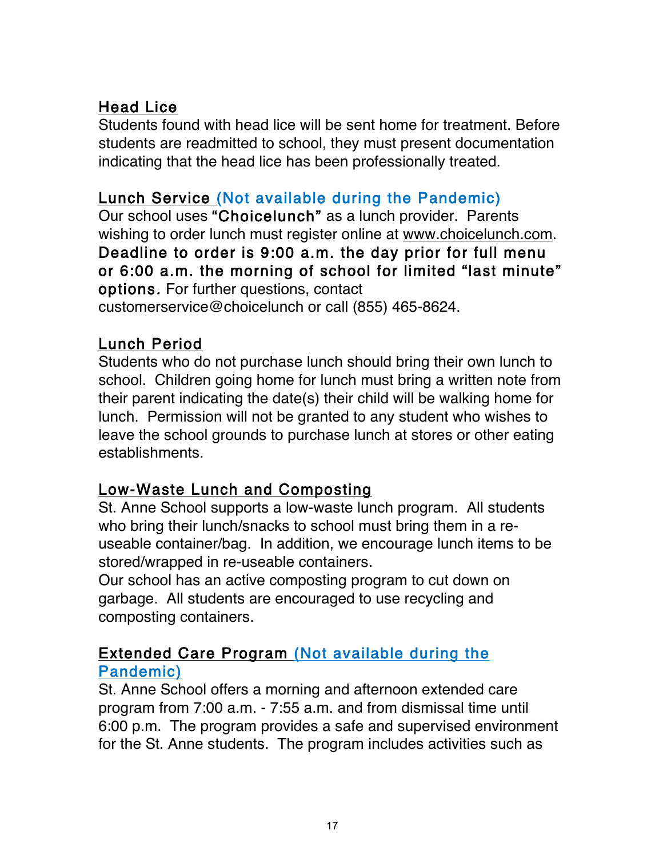# Head Lice

Students found with head lice will be sent home for treatment. Before students are readmitted to school, they must present documentation indicating that the head lice has been professionally treated.

# Lunch Service (Not available during the Pandemic)

Our school uses "Choicelunch" as a lunch provider. Parents wishing to order lunch must register online at www.choicelunch.com. Deadline to order is 9:00 a.m. the day prior for full menu or 6:00 a.m. the morning of school for limited "last minute" options. For further questions, contact customerservice@choicelunch or call (855) 465-8624.

## Lunch Period

Students who do not purchase lunch should bring their own lunch to school. Children going home for lunch must bring a written note from their parent indicating the date(s) their child will be walking home for lunch. Permission will not be granted to any student who wishes to leave the school grounds to purchase lunch at stores or other eating establishments.

# Low-Waste Lunch and Composting

St. Anne School supports a low-waste lunch program. All students who bring their lunch/snacks to school must bring them in a reuseable container/bag. In addition, we encourage lunch items to be stored/wrapped in re-useable containers.

Our school has an active composting program to cut down on garbage. All students are encouraged to use recycling and composting containers.

#### Extended Care Program (Not available during the Pandemic)

St. Anne School offers a morning and afternoon extended care program from 7:00 a.m. - 7:55 a.m. and from dismissal time until 6:00 p.m. The program provides a safe and supervised environment for the St. Anne students. The program includes activities such as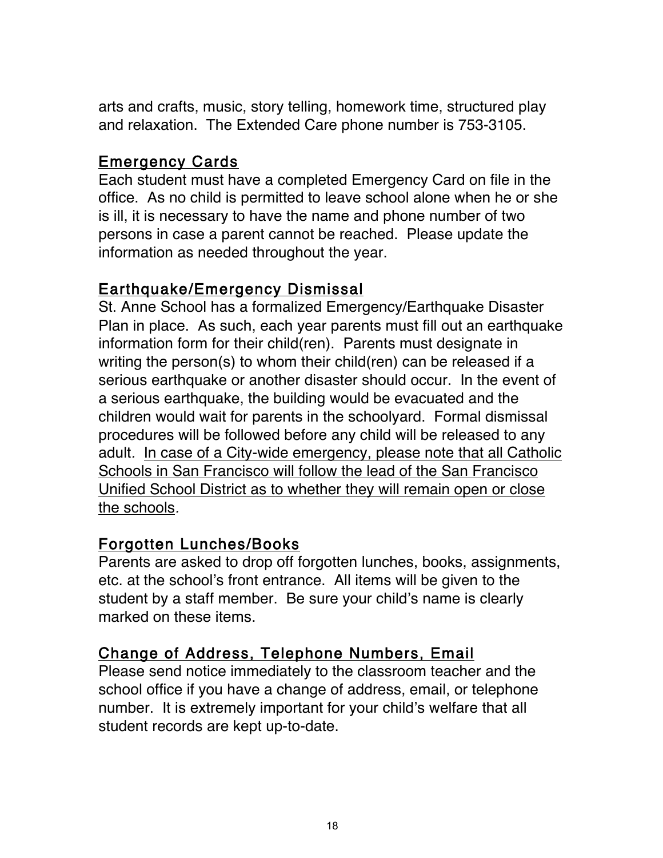arts and crafts, music, story telling, homework time, structured play and relaxation. The Extended Care phone number is 753-3105.

#### Emergency Cards

Each student must have a completed Emergency Card on file in the office. As no child is permitted to leave school alone when he or she is ill, it is necessary to have the name and phone number of two persons in case a parent cannot be reached. Please update the information as needed throughout the year.

#### Earthquake/Emergency Dismissal

St. Anne School has a formalized Emergency/Earthquake Disaster Plan in place. As such, each year parents must fill out an earthquake information form for their child(ren). Parents must designate in writing the person(s) to whom their child(ren) can be released if a serious earthquake or another disaster should occur. In the event of a serious earthquake, the building would be evacuated and the children would wait for parents in the schoolyard. Formal dismissal procedures will be followed before any child will be released to any adult. In case of a City-wide emergency, please note that all Catholic Schools in San Francisco will follow the lead of the San Francisco Unified School District as to whether they will remain open or close the schools.

#### Forgotten Lunches/Books

Parents are asked to drop off forgotten lunches, books, assignments, etc. at the school's front entrance. All items will be given to the student by a staff member. Be sure your child's name is clearly marked on these items.

# Change of Address, Telephone Numbers, Email

Please send notice immediately to the classroom teacher and the school office if you have a change of address, email, or telephone number. It is extremely important for your child's welfare that all student records are kept up-to-date.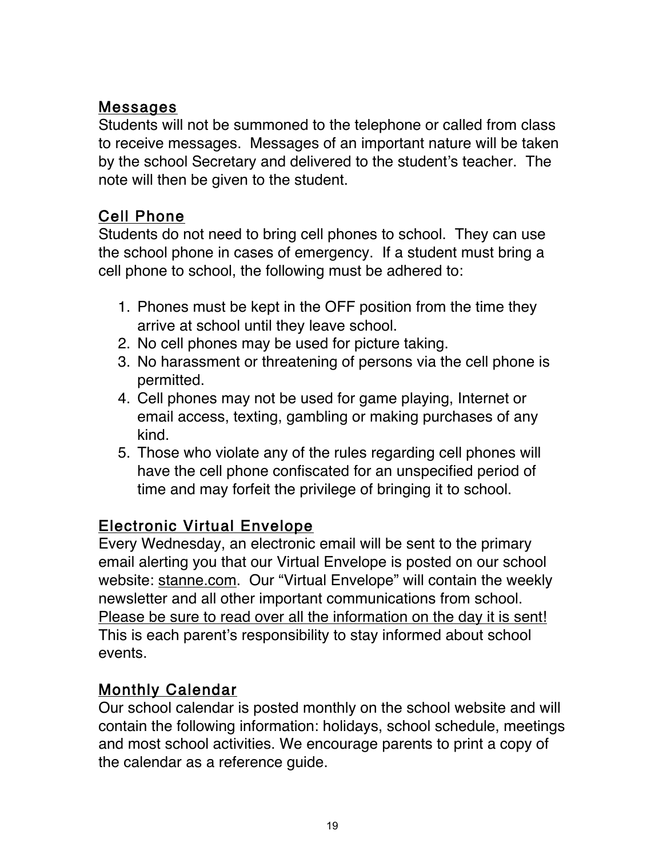## Messages

Students will not be summoned to the telephone or called from class to receive messages. Messages of an important nature will be taken by the school Secretary and delivered to the student's teacher. The note will then be given to the student.

# Cell Phone

Students do not need to bring cell phones to school. They can use the school phone in cases of emergency. If a student must bring a cell phone to school, the following must be adhered to:

- 1. Phones must be kept in the OFF position from the time they arrive at school until they leave school.
- 2. No cell phones may be used for picture taking.
- 3. No harassment or threatening of persons via the cell phone is permitted.
- 4. Cell phones may not be used for game playing, Internet or email access, texting, gambling or making purchases of any kind.
- 5. Those who violate any of the rules regarding cell phones will have the cell phone confiscated for an unspecified period of time and may forfeit the privilege of bringing it to school.

# Electronic Virtual Envelope

Every Wednesday, an electronic email will be sent to the primary email alerting you that our Virtual Envelope is posted on our school website: stanne.com. Our "Virtual Envelope" will contain the weekly newsletter and all other important communications from school. Please be sure to read over all the information on the day it is sent! This is each parent's responsibility to stay informed about school events.

# Monthly Calendar

Our school calendar is posted monthly on the school website and will contain the following information: holidays, school schedule, meetings and most school activities. We encourage parents to print a copy of the calendar as a reference guide.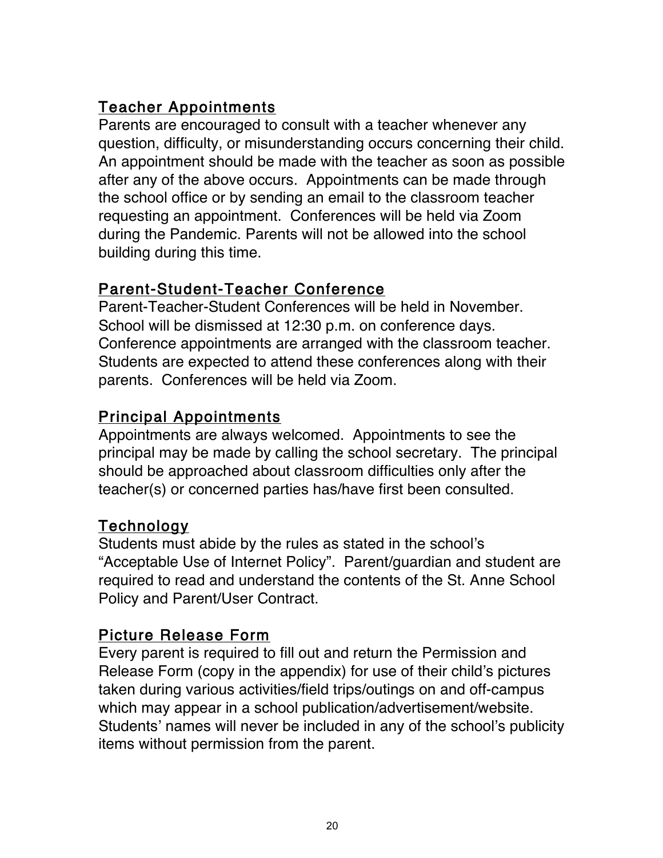# Teacher Appointments

Parents are encouraged to consult with a teacher whenever any question, difficulty, or misunderstanding occurs concerning their child. An appointment should be made with the teacher as soon as possible after any of the above occurs. Appointments can be made through the school office or by sending an email to the classroom teacher requesting an appointment. Conferences will be held via Zoom during the Pandemic. Parents will not be allowed into the school building during this time.

## Parent-Student-Teacher Conference

Parent-Teacher-Student Conferences will be held in November. School will be dismissed at 12:30 p.m. on conference days. Conference appointments are arranged with the classroom teacher. Students are expected to attend these conferences along with their parents. Conferences will be held via Zoom.

# Principal Appointments

Appointments are always welcomed. Appointments to see the principal may be made by calling the school secretary. The principal should be approached about classroom difficulties only after the teacher(s) or concerned parties has/have first been consulted.

# Technology

Students must abide by the rules as stated in the school's "Acceptable Use of Internet Policy". Parent/guardian and student are required to read and understand the contents of the St. Anne School Policy and Parent/User Contract.

# Picture Release Form

Every parent is required to fill out and return the Permission and Release Form (copy in the appendix) for use of their child's pictures taken during various activities/field trips/outings on and off-campus which may appear in a school publication/advertisement/website. Students' names will never be included in any of the school's publicity items without permission from the parent.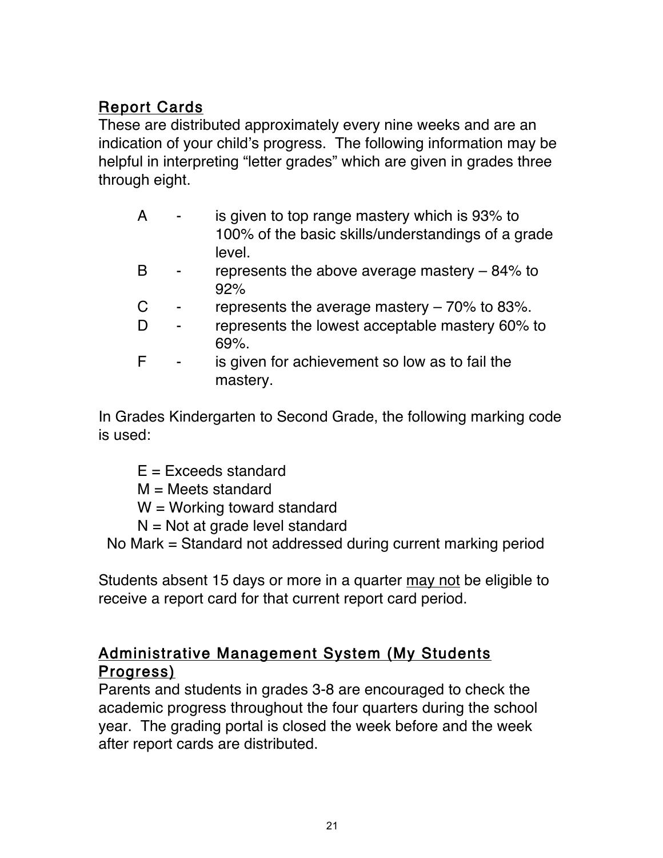# Report Cards

These are distributed approximately every nine weeks and are an indication of your child's progress. The following information may be helpful in interpreting "letter grades" which are given in grades three through eight.

- A is given to top range mastery which is 93% to 100% of the basic skills/understandings of a grade level.
- B represents the above average mastery 84% to 92%
- C represents the average mastery  $-70\%$  to 83%.
- D represents the lowest acceptable mastery 60% to 69%.
- F is given for achievement so low as to fail the mastery.

In Grades Kindergarten to Second Grade, the following marking code is used:

- $E = Exceeds standard$
- M = Meets standard
- $W =$  Working toward standard
- $N = Not$  at grade level standard

No Mark = Standard not addressed during current marking period

Students absent 15 days or more in a quarter may not be eligible to receive a report card for that current report card period.

## Administrative Management System (My Students Progress)

Parents and students in grades 3-8 are encouraged to check the academic progress throughout the four quarters during the school year. The grading portal is closed the week before and the week after report cards are distributed.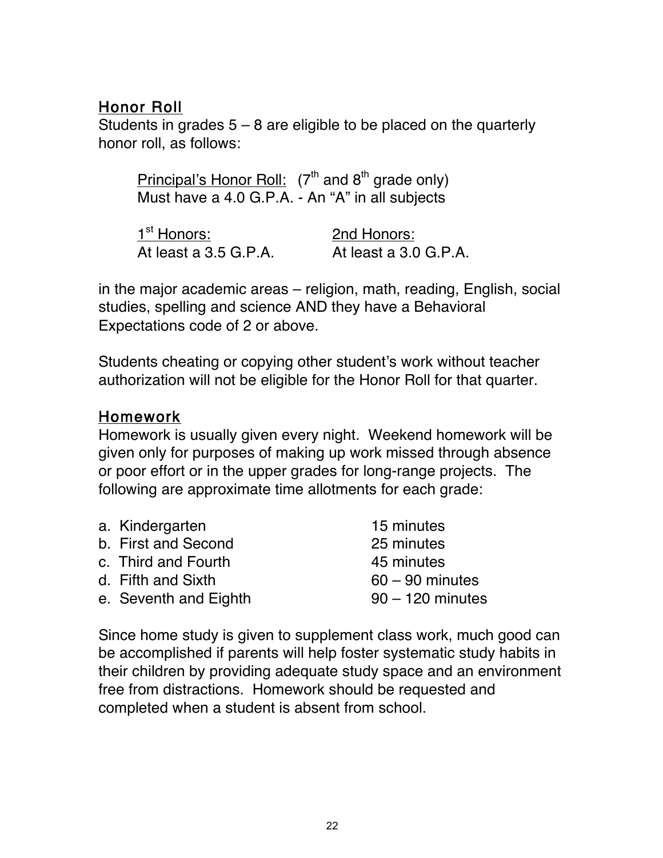## Honor Roll

Students in grades  $5 - 8$  are eligible to be placed on the quarterly honor roll, as follows:

Principal's Honor Roll:  $(7<sup>th</sup>$  and 8<sup>th</sup> grade only) Must have a 4.0 G.P.A. - An "A" in all subjects

| 1 <sup>st</sup> Honors: | 2nd Honors:           |
|-------------------------|-----------------------|
| At least a 3.5 G.P.A.   | At least a 3.0 G.P.A. |

in the major academic areas – religion, math, reading, English, social studies, spelling and science AND they have a Behavioral Expectations code of 2 or above.

Students cheating or copying other student's work without teacher authorization will not be eligible for the Honor Roll for that quarter.

#### Homework

Homework is usually given every night. Weekend homework will be given only for purposes of making up work missed through absence or poor effort or in the upper grades for long-range projects. The following are approximate time allotments for each grade:

| a. Kindergarten       | 15 minutes         |
|-----------------------|--------------------|
| b. First and Second   | 25 minutes         |
| c. Third and Fourth   | 45 minutes         |
| d. Fifth and Sixth    | $60 - 90$ minutes  |
| e. Seventh and Eighth | $90 - 120$ minutes |
|                       |                    |

Since home study is given to supplement class work, much good can be accomplished if parents will help foster systematic study habits in their children by providing adequate study space and an environment free from distractions. Homework should be requested and completed when a student is absent from school.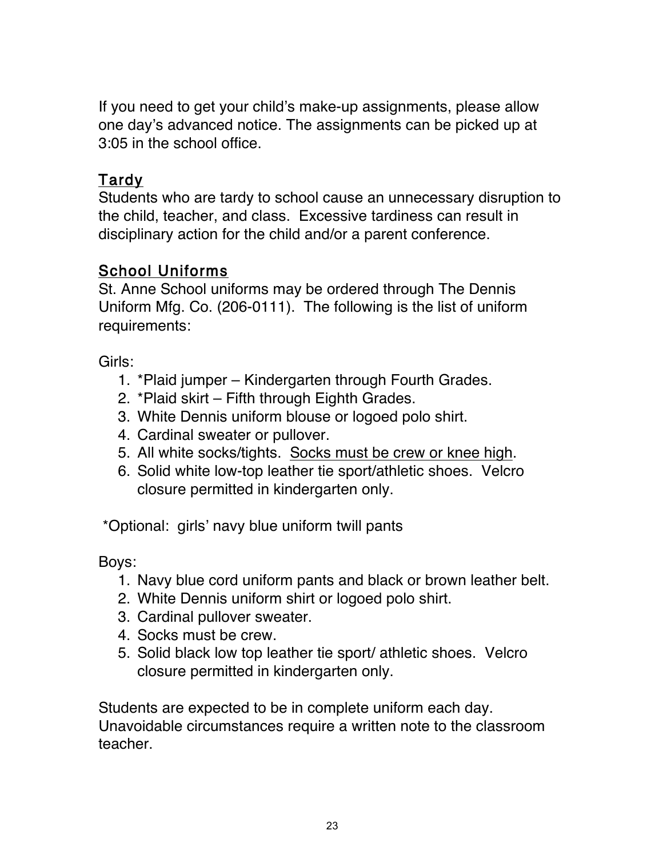If you need to get your child's make-up assignments, please allow one day's advanced notice. The assignments can be picked up at 3:05 in the school office.

## Tardy

Students who are tardy to school cause an unnecessary disruption to the child, teacher, and class. Excessive tardiness can result in disciplinary action for the child and/or a parent conference.

## School Uniforms

St. Anne School uniforms may be ordered through The Dennis Uniform Mfg. Co. (206-0111). The following is the list of uniform requirements:

Girls:

- 1. \*Plaid jumper Kindergarten through Fourth Grades.
- 2. \*Plaid skirt Fifth through Eighth Grades.
- 3. White Dennis uniform blouse or logoed polo shirt.
- 4. Cardinal sweater or pullover.
- 5. All white socks/tights. Socks must be crew or knee high.
- 6. Solid white low-top leather tie sport/athletic shoes. Velcro closure permitted in kindergarten only.

\*Optional: girls' navy blue uniform twill pants

Boys:

- 1. Navy blue cord uniform pants and black or brown leather belt.
- 2. White Dennis uniform shirt or logoed polo shirt.
- 3. Cardinal pullover sweater.
- 4. Socks must be crew.
- 5. Solid black low top leather tie sport/ athletic shoes. Velcro closure permitted in kindergarten only.

Students are expected to be in complete uniform each day. Unavoidable circumstances require a written note to the classroom teacher.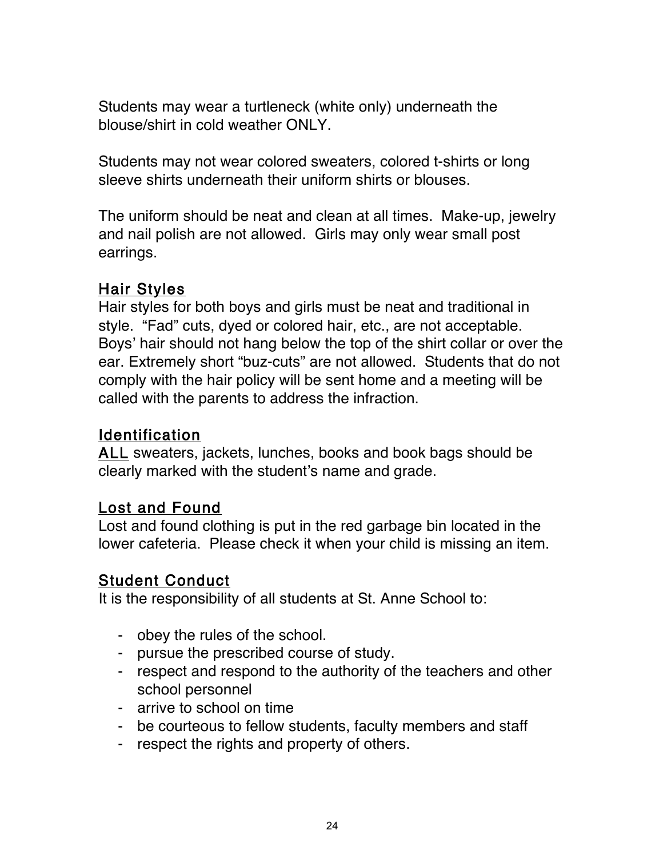Students may wear a turtleneck (white only) underneath the blouse/shirt in cold weather ONLY.

Students may not wear colored sweaters, colored t-shirts or long sleeve shirts underneath their uniform shirts or blouses.

The uniform should be neat and clean at all times. Make-up, jewelry and nail polish are not allowed. Girls may only wear small post earrings.

#### **Hair Styles**

Hair styles for both boys and girls must be neat and traditional in style. "Fad" cuts, dyed or colored hair, etc., are not acceptable. Boys' hair should not hang below the top of the shirt collar or over the ear. Extremely short "buz-cuts" are not allowed. Students that do not comply with the hair policy will be sent home and a meeting will be called with the parents to address the infraction.

## Identification

ALL sweaters, jackets, lunches, books and book bags should be clearly marked with the student's name and grade.

#### Lost and Found

Lost and found clothing is put in the red garbage bin located in the lower cafeteria. Please check it when your child is missing an item.

#### Student Conduct

It is the responsibility of all students at St. Anne School to:

- obey the rules of the school.
- pursue the prescribed course of study.
- respect and respond to the authority of the teachers and other school personnel
- arrive to school on time
- be courteous to fellow students, faculty members and staff
- respect the rights and property of others.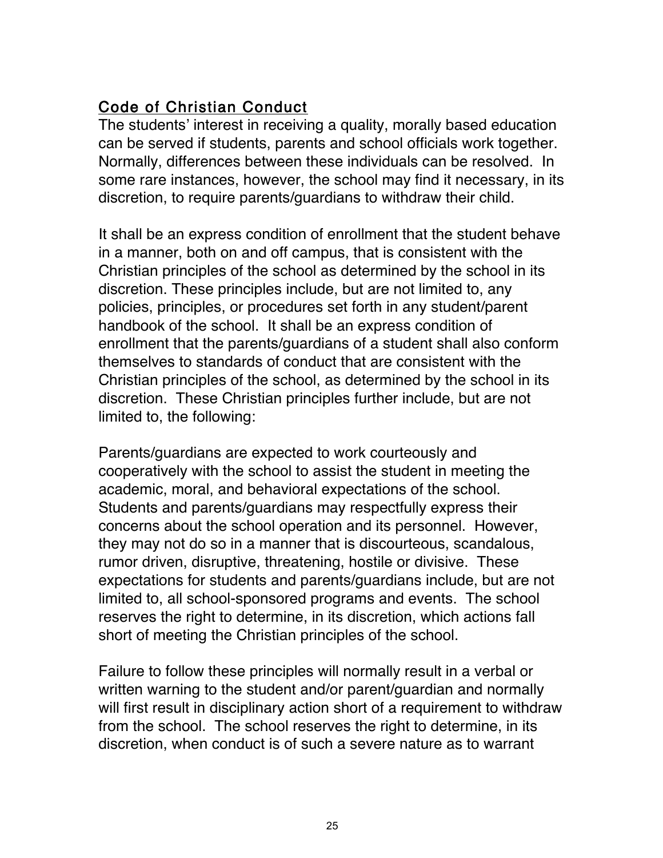# Code of Christian Conduct

The students' interest in receiving a quality, morally based education can be served if students, parents and school officials work together. Normally, differences between these individuals can be resolved. In some rare instances, however, the school may find it necessary, in its discretion, to require parents/guardians to withdraw their child.

It shall be an express condition of enrollment that the student behave in a manner, both on and off campus, that is consistent with the Christian principles of the school as determined by the school in its discretion. These principles include, but are not limited to, any policies, principles, or procedures set forth in any student/parent handbook of the school. It shall be an express condition of enrollment that the parents/guardians of a student shall also conform themselves to standards of conduct that are consistent with the Christian principles of the school, as determined by the school in its discretion. These Christian principles further include, but are not limited to, the following:

Parents/guardians are expected to work courteously and cooperatively with the school to assist the student in meeting the academic, moral, and behavioral expectations of the school. Students and parents/guardians may respectfully express their concerns about the school operation and its personnel. However, they may not do so in a manner that is discourteous, scandalous, rumor driven, disruptive, threatening, hostile or divisive. These expectations for students and parents/guardians include, but are not limited to, all school-sponsored programs and events. The school reserves the right to determine, in its discretion, which actions fall short of meeting the Christian principles of the school.

Failure to follow these principles will normally result in a verbal or written warning to the student and/or parent/guardian and normally will first result in disciplinary action short of a requirement to withdraw from the school. The school reserves the right to determine, in its discretion, when conduct is of such a severe nature as to warrant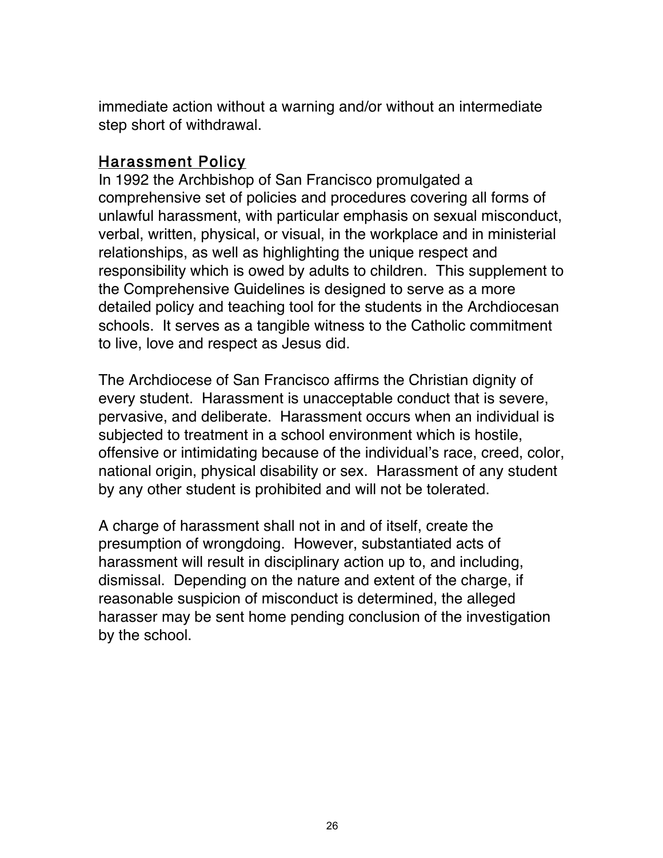immediate action without a warning and/or without an intermediate step short of withdrawal.

#### Harassment Policy

In 1992 the Archbishop of San Francisco promulgated a comprehensive set of policies and procedures covering all forms of unlawful harassment, with particular emphasis on sexual misconduct, verbal, written, physical, or visual, in the workplace and in ministerial relationships, as well as highlighting the unique respect and responsibility which is owed by adults to children. This supplement to the Comprehensive Guidelines is designed to serve as a more detailed policy and teaching tool for the students in the Archdiocesan schools. It serves as a tangible witness to the Catholic commitment to live, love and respect as Jesus did.

The Archdiocese of San Francisco affirms the Christian dignity of every student. Harassment is unacceptable conduct that is severe, pervasive, and deliberate. Harassment occurs when an individual is subjected to treatment in a school environment which is hostile, offensive or intimidating because of the individual's race, creed, color, national origin, physical disability or sex. Harassment of any student by any other student is prohibited and will not be tolerated.

A charge of harassment shall not in and of itself, create the presumption of wrongdoing. However, substantiated acts of harassment will result in disciplinary action up to, and including, dismissal. Depending on the nature and extent of the charge, if reasonable suspicion of misconduct is determined, the alleged harasser may be sent home pending conclusion of the investigation by the school.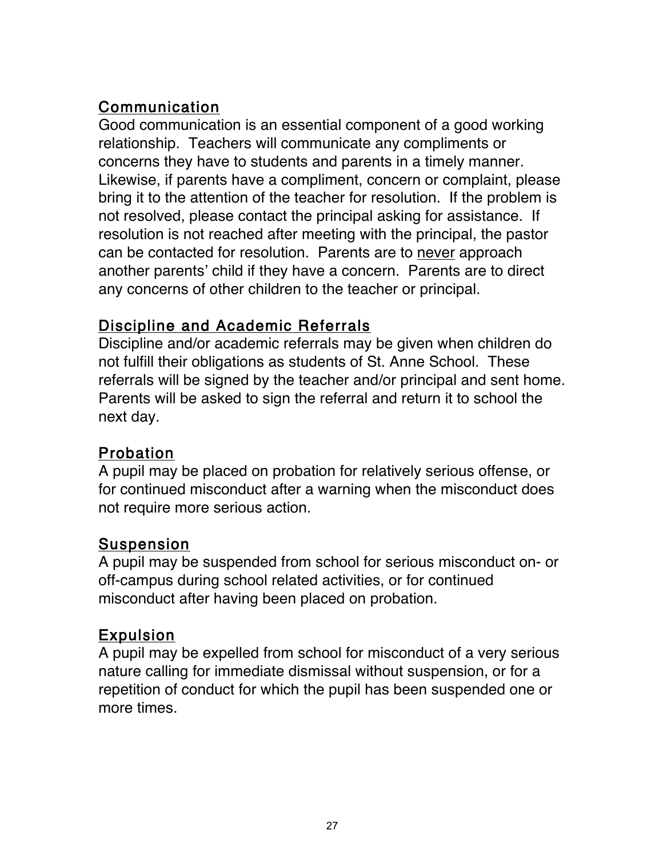# Communication

Good communication is an essential component of a good working relationship. Teachers will communicate any compliments or concerns they have to students and parents in a timely manner. Likewise, if parents have a compliment, concern or complaint, please bring it to the attention of the teacher for resolution. If the problem is not resolved, please contact the principal asking for assistance. If resolution is not reached after meeting with the principal, the pastor can be contacted for resolution. Parents are to never approach another parents' child if they have a concern. Parents are to direct any concerns of other children to the teacher or principal.

# Discipline and Academic Referrals

Discipline and/or academic referrals may be given when children do not fulfill their obligations as students of St. Anne School. These referrals will be signed by the teacher and/or principal and sent home. Parents will be asked to sign the referral and return it to school the next day.

# Probation

A pupil may be placed on probation for relatively serious offense, or for continued misconduct after a warning when the misconduct does not require more serious action.

# Suspension

A pupil may be suspended from school for serious misconduct on- or off-campus during school related activities, or for continued misconduct after having been placed on probation.

# Expulsion

A pupil may be expelled from school for misconduct of a very serious nature calling for immediate dismissal without suspension, or for a repetition of conduct for which the pupil has been suspended one or more times.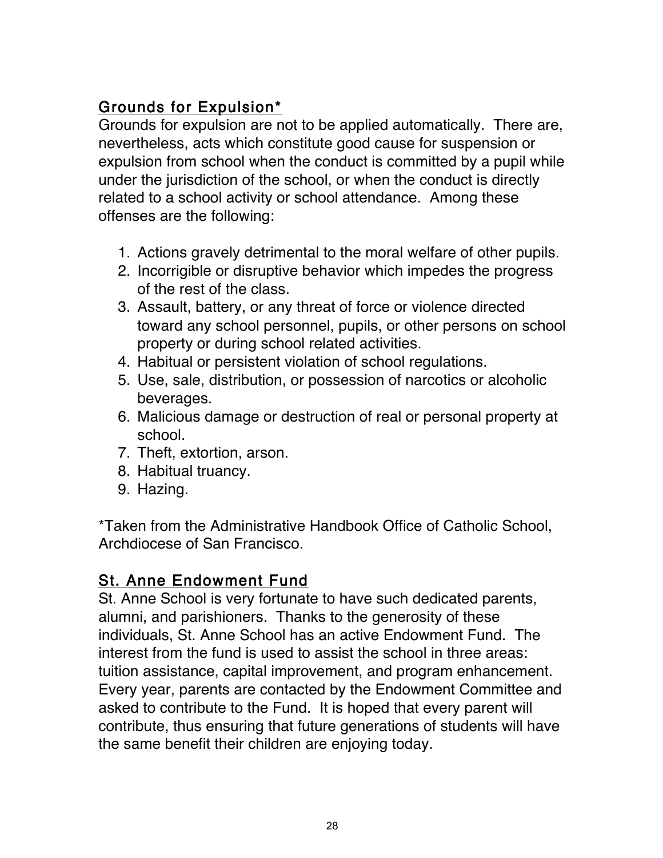# Grounds for Expulsion\*

Grounds for expulsion are not to be applied automatically. There are, nevertheless, acts which constitute good cause for suspension or expulsion from school when the conduct is committed by a pupil while under the jurisdiction of the school, or when the conduct is directly related to a school activity or school attendance. Among these offenses are the following:

- 1. Actions gravely detrimental to the moral welfare of other pupils.
- 2. Incorrigible or disruptive behavior which impedes the progress of the rest of the class.
- 3. Assault, battery, or any threat of force or violence directed toward any school personnel, pupils, or other persons on school property or during school related activities.
- 4. Habitual or persistent violation of school regulations.
- 5. Use, sale, distribution, or possession of narcotics or alcoholic beverages.
- 6. Malicious damage or destruction of real or personal property at school.
- 7. Theft, extortion, arson.
- 8. Habitual truancy.
- 9. Hazing.

\*Taken from the Administrative Handbook Office of Catholic School, Archdiocese of San Francisco.

# St. Anne Endowment Fund

St. Anne School is very fortunate to have such dedicated parents, alumni, and parishioners. Thanks to the generosity of these individuals, St. Anne School has an active Endowment Fund. The interest from the fund is used to assist the school in three areas: tuition assistance, capital improvement, and program enhancement. Every year, parents are contacted by the Endowment Committee and asked to contribute to the Fund. It is hoped that every parent will contribute, thus ensuring that future generations of students will have the same benefit their children are enjoying today.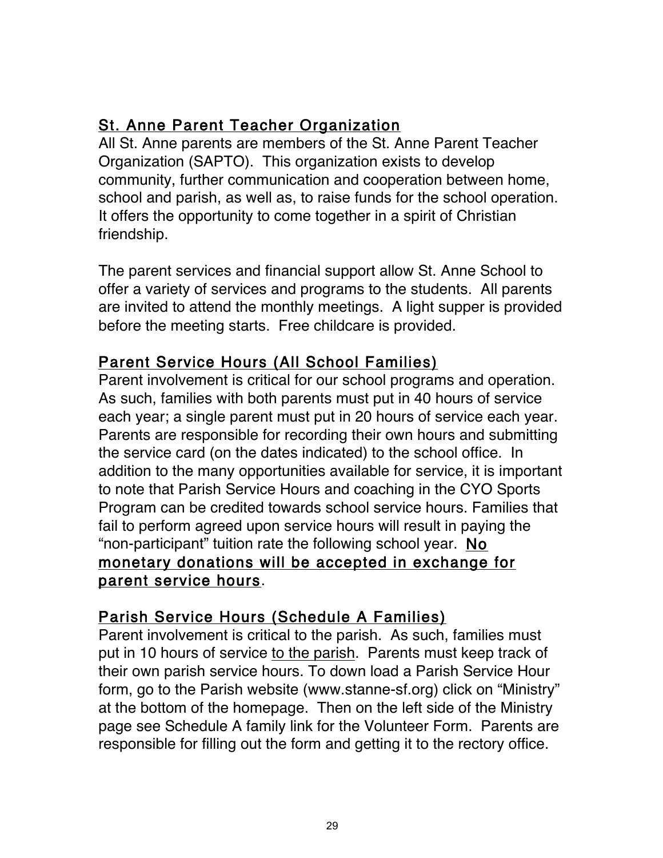# St. Anne Parent Teacher Organization

All St. Anne parents are members of the St. Anne Parent Teacher Organization (SAPTO). This organization exists to develop community, further communication and cooperation between home, school and parish, as well as, to raise funds for the school operation. It offers the opportunity to come together in a spirit of Christian friendship.

The parent services and financial support allow St. Anne School to offer a variety of services and programs to the students. All parents are invited to attend the monthly meetings. A light supper is provided before the meeting starts. Free childcare is provided.

## Parent Service Hours (All School Families)

Parent involvement is critical for our school programs and operation. As such, families with both parents must put in 40 hours of service each year; a single parent must put in 20 hours of service each year. Parents are responsible for recording their own hours and submitting the service card (on the dates indicated) to the school office. In addition to the many opportunities available for service, it is important to note that Parish Service Hours and coaching in the CYO Sports Program can be credited towards school service hours. Families that fail to perform agreed upon service hours will result in paying the "non-participant" tuition rate the following school year. No monetary donations will be accepted in exchange for parent service hours.

## Parish Service Hours (Schedule A Families)

Parent involvement is critical to the parish. As such, families must put in 10 hours of service to the parish. Parents must keep track of their own parish service hours. To down load a Parish Service Hour form, go to the Parish website (www.stanne-sf.org) click on "Ministry" at the bottom of the homepage. Then on the left side of the Ministry page see Schedule A family link for the Volunteer Form. Parents are responsible for filling out the form and getting it to the rectory office.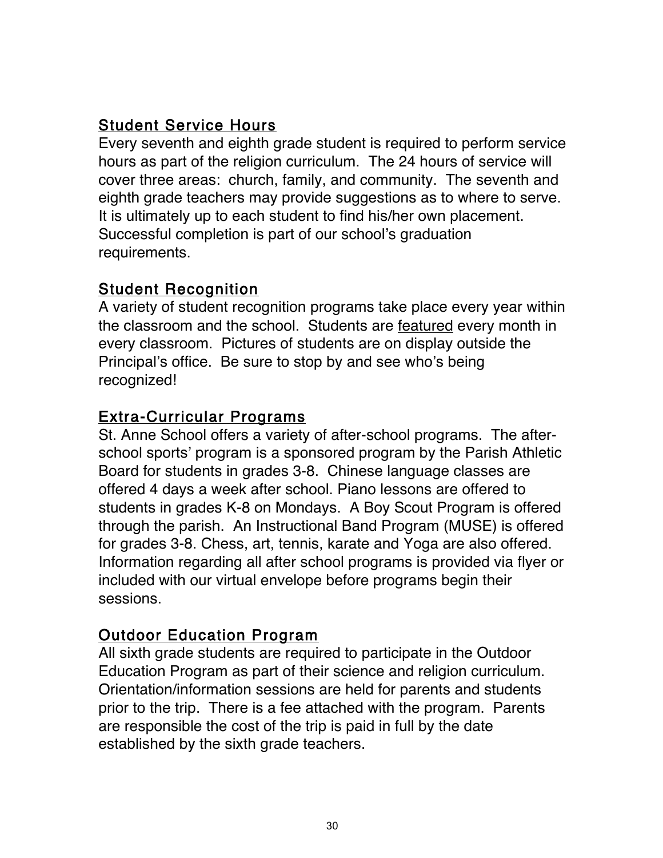## Student Service Hours

Every seventh and eighth grade student is required to perform service hours as part of the religion curriculum. The 24 hours of service will cover three areas: church, family, and community. The seventh and eighth grade teachers may provide suggestions as to where to serve. It is ultimately up to each student to find his/her own placement. Successful completion is part of our school's graduation requirements.

#### **Student Recognition**

A variety of student recognition programs take place every year within the classroom and the school. Students are featured every month in every classroom. Pictures of students are on display outside the Principal's office. Be sure to stop by and see who's being recognized!

#### Extra-Curricular Programs

St. Anne School offers a variety of after-school programs. The afterschool sports' program is a sponsored program by the Parish Athletic Board for students in grades 3-8. Chinese language classes are offered 4 days a week after school. Piano lessons are offered to students in grades K-8 on Mondays. A Boy Scout Program is offered through the parish. An Instructional Band Program (MUSE) is offered for grades 3-8. Chess, art, tennis, karate and Yoga are also offered. Information regarding all after school programs is provided via flyer or included with our virtual envelope before programs begin their sessions.

## Outdoor Education Program

All sixth grade students are required to participate in the Outdoor Education Program as part of their science and religion curriculum. Orientation/information sessions are held for parents and students prior to the trip. There is a fee attached with the program. Parents are responsible the cost of the trip is paid in full by the date established by the sixth grade teachers.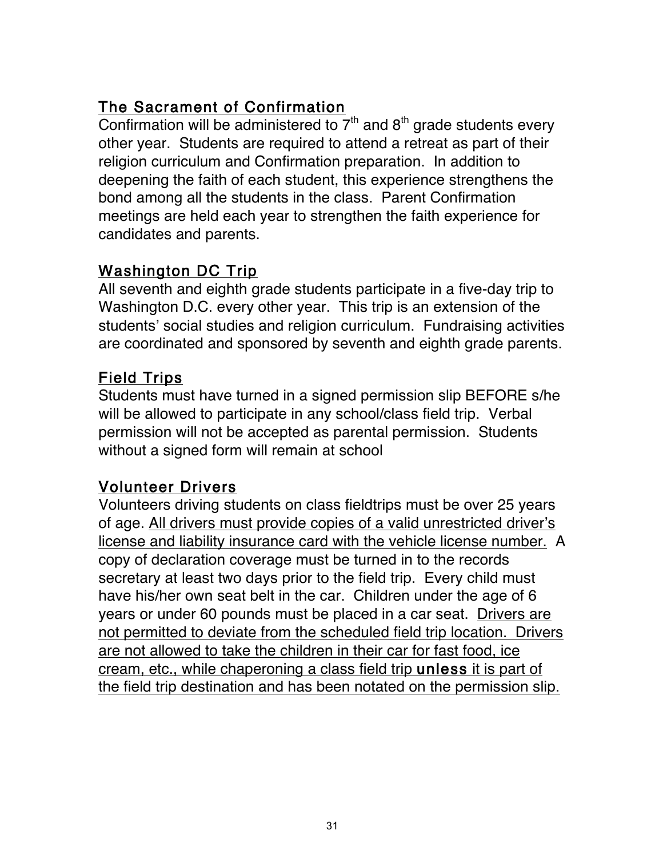# The Sacrament of Confirmation

Confirmation will be administered to  $7<sup>th</sup>$  and  $8<sup>th</sup>$  grade students every other year. Students are required to attend a retreat as part of their religion curriculum and Confirmation preparation. In addition to deepening the faith of each student, this experience strengthens the bond among all the students in the class. Parent Confirmation meetings are held each year to strengthen the faith experience for candidates and parents.

## Washington DC Trip

All seventh and eighth grade students participate in a five-day trip to Washington D.C. every other year. This trip is an extension of the students' social studies and religion curriculum. Fundraising activities are coordinated and sponsored by seventh and eighth grade parents.

# Field Trips

Students must have turned in a signed permission slip BEFORE s/he will be allowed to participate in any school/class field trip. Verbal permission will not be accepted as parental permission. Students without a signed form will remain at school

# Volunteer Drivers

Volunteers driving students on class fieldtrips must be over 25 years of age. All drivers must provide copies of a valid unrestricted driver's license and liability insurance card with the vehicle license number. A copy of declaration coverage must be turned in to the records secretary at least two days prior to the field trip. Every child must have his/her own seat belt in the car. Children under the age of 6 years or under 60 pounds must be placed in a car seat. Drivers are not permitted to deviate from the scheduled field trip location. Drivers are not allowed to take the children in their car for fast food, ice cream, etc., while chaperoning a class field trip unless it is part of the field trip destination and has been notated on the permission slip.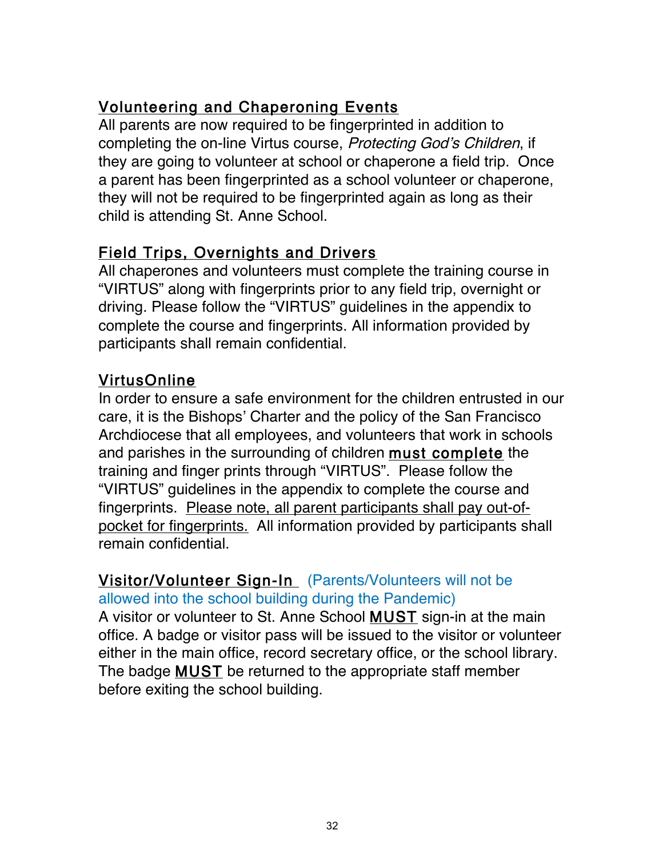# Volunteering and Chaperoning Events

All parents are now required to be fingerprinted in addition to completing the on-line Virtus course, Protecting God's Children, if they are going to volunteer at school or chaperone a field trip. Once a parent has been fingerprinted as a school volunteer or chaperone, they will not be required to be fingerprinted again as long as their child is attending St. Anne School.

# Field Trips, Overnights and Drivers

All chaperones and volunteers must complete the training course in "VIRTUS" along with fingerprints prior to any field trip, overnight or driving. Please follow the "VIRTUS" guidelines in the appendix to complete the course and fingerprints. All information provided by participants shall remain confidential.

# VirtusOnline

In order to ensure a safe environment for the children entrusted in our care, it is the Bishops' Charter and the policy of the San Francisco Archdiocese that all employees, and volunteers that work in schools and parishes in the surrounding of children must complete the training and finger prints through "VIRTUS". Please follow the "VIRTUS" guidelines in the appendix to complete the course and fingerprints. Please note, all parent participants shall pay out-ofpocket for fingerprints. All information provided by participants shall remain confidential.

#### Visitor/Volunteer Sign-In (Parents/Volunteers will not be allowed into the school building during the Pandemic)

A visitor or volunteer to St. Anne School MUST sign-in at the main office. A badge or visitor pass will be issued to the visitor or volunteer either in the main office, record secretary office, or the school library. The badge MUST be returned to the appropriate staff member before exiting the school building.